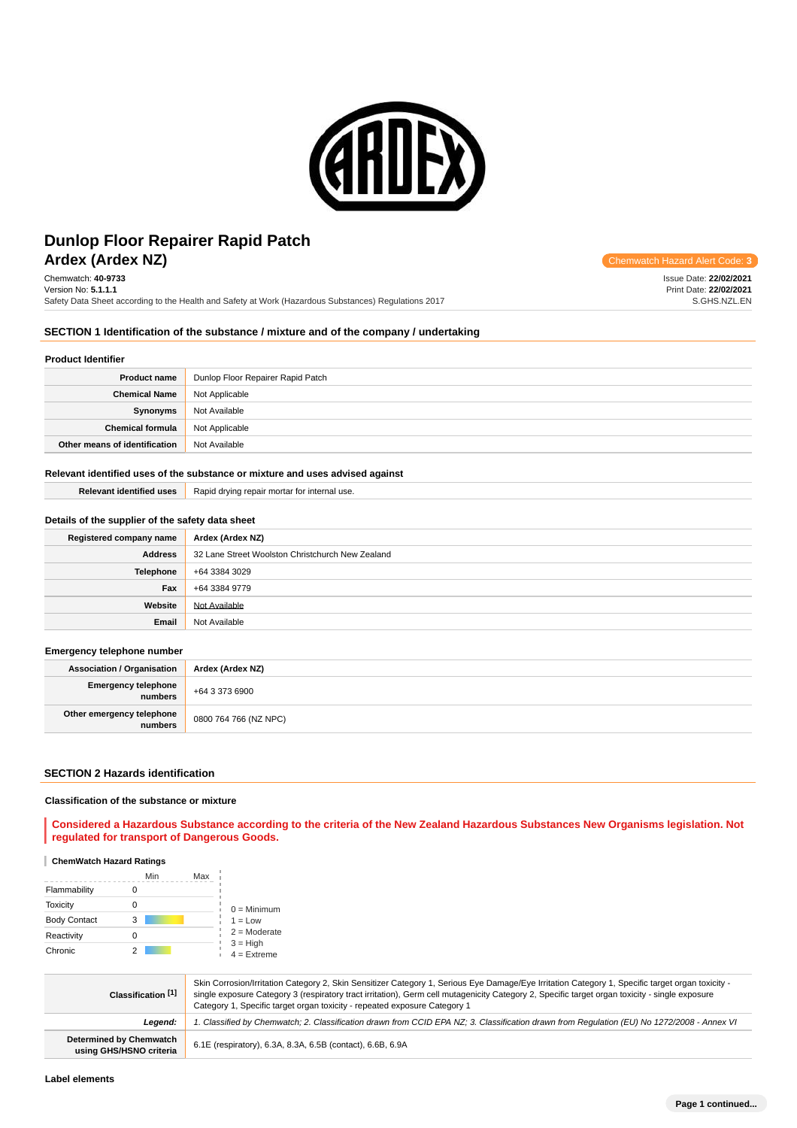

# **Ardex (Ardex NZ) Chemwatch Hazard Alert** Communication Controllering Communication Controllering Communication Controllering Controllering Controllering Controllering Controllering Controllering Controllering Controller **Dunlop Floor Repairer Rapid Patch**

Chemwatch: **40-9733** Version No: **5.1.1.1** Safety Data Sheet according to the Health and Safety at Work (Hazardous Substances) Regulations 2017

Issue Date: **22/02/2021** Print Date: **22/02/2021** S.GHS.NZL.EN

## **SECTION 1 Identification of the substance / mixture and of the company / undertaking**

## **Product Identifier**

| <b>Product name</b>           | Dunlop Floor Repairer Rapid Patch |
|-------------------------------|-----------------------------------|
| <b>Chemical Name</b>          | Not Applicable                    |
| Synonyms                      | Not Available                     |
| <b>Chemical formula</b>       | Not Applicable                    |
| Other means of identification | Not Available                     |

#### **Relevant identified uses of the substance or mixture and uses advised against**

| <b>Relevant identified uses</b> | Rapid drying repair mortar for internal use. |
|---------------------------------|----------------------------------------------|
|                                 |                                              |

## **Details of the supplier of the safety data sheet**

| Registered company name | Ardex (Ardex NZ)                                 |
|-------------------------|--------------------------------------------------|
| <b>Address</b>          | 32 Lane Street Woolston Christchurch New Zealand |
| <b>Telephone</b>        | +64 3384 3029                                    |
| Fax                     | +64 3384 9779                                    |
| Website                 | Not Available                                    |
| Email                   | Not Available                                    |

## **Emergency telephone number**

| <b>Association / Organisation</b>    | Ardex (Ardex NZ)      |
|--------------------------------------|-----------------------|
| Emergency telephone<br>numbers       | +64 3 373 6900        |
| Other emergency telephone<br>numbers | 0800 764 766 (NZ NPC) |

#### **SECTION 2 Hazards identification**

### **Classification of the substance or mixture**

**Considered a Hazardous Substance according to the criteria of the New Zealand Hazardous Substances New Organisms legislation. Not regulated for transport of Dangerous Goods.**

#### **ChemWatch Hazard Ratings**

|                     | Min | Max |                             |
|---------------------|-----|-----|-----------------------------|
| Flammability        |     |     |                             |
| <b>Toxicity</b>     |     |     | $0 =$ Minimum               |
| <b>Body Contact</b> | 3   |     | $1 = Low$                   |
| Reactivity          | Ω   |     | $2 =$ Moderate              |
| Chronic             |     |     | $3 = High$<br>$4 =$ Extreme |

| Classification [1]                                        | Skin Corrosion/Irritation Category 2, Skin Sensitizer Category 1, Serious Eye Damage/Eye Irritation Category 1, Specific target organ toxicity -<br>single exposure Category 3 (respiratory tract irritation), Germ cell mutagenicity Category 2, Specific target organ toxicity - single exposure<br>Category 1, Specific target organ toxicity - repeated exposure Category 1 |
|-----------------------------------------------------------|---------------------------------------------------------------------------------------------------------------------------------------------------------------------------------------------------------------------------------------------------------------------------------------------------------------------------------------------------------------------------------|
| Leaend:                                                   | I. Classified by Chemwatch; 2. Classification drawn from CCID EPA NZ; 3. Classification drawn from Requlation (EU) No 1272/2008 - Annex VI                                                                                                                                                                                                                                      |
| <b>Determined by Chemwatch</b><br>using GHS/HSNO criteria | 6.1E (respiratory), 6.3A, 8.3A, 6.5B (contact), 6.6B, 6.9A                                                                                                                                                                                                                                                                                                                      |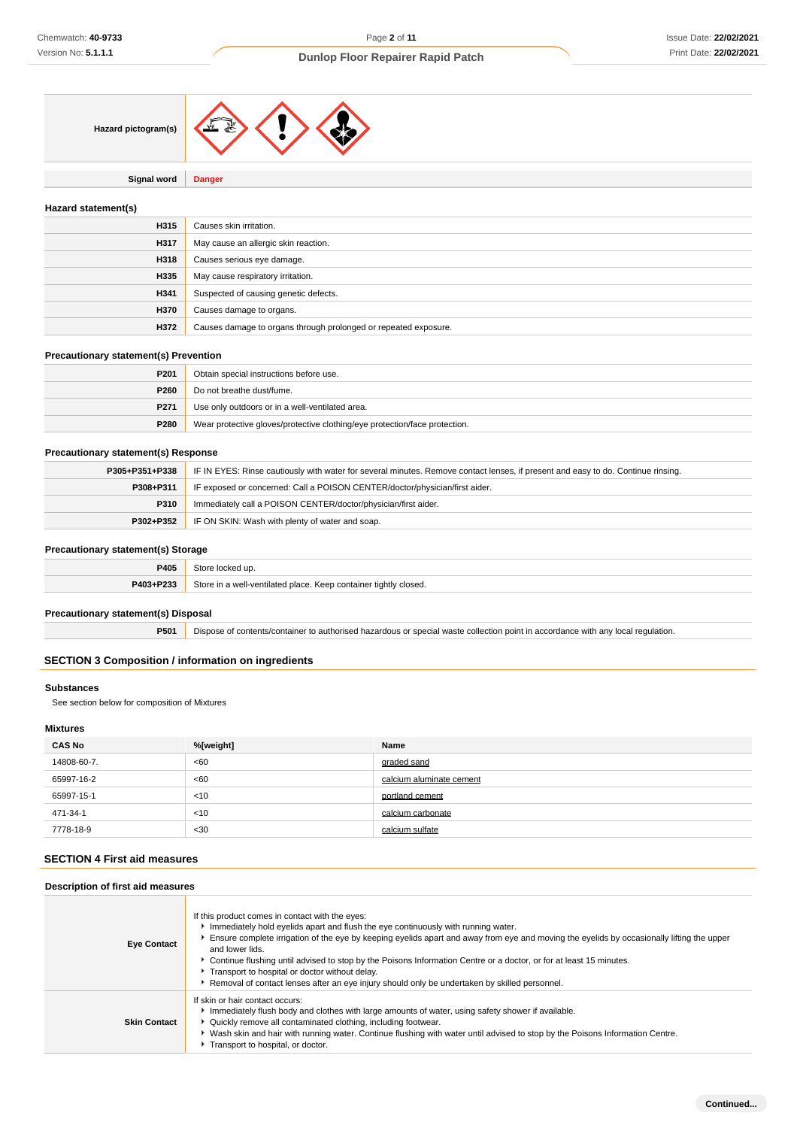

**Signal word Danger**

## **Hazard statement(s)**

| H315 | Causes skin irritation.                                         |
|------|-----------------------------------------------------------------|
| H317 | May cause an allergic skin reaction.                            |
| H318 | Causes serious eye damage.                                      |
| H335 | May cause respiratory irritation.                               |
| H341 | Suspected of causing genetic defects.                           |
| H370 | Causes damage to organs.                                        |
| H372 | Causes damage to organs through prolonged or repeated exposure. |

## **Precautionary statement(s) Prevention**

| P <sub>201</sub> | Obtain special instructions before use.                                    |
|------------------|----------------------------------------------------------------------------|
| P <sub>260</sub> | Do not breathe dust/fume.                                                  |
| P <sub>271</sub> | Use only outdoors or in a well-ventilated area.                            |
| P280             | Wear protective gloves/protective clothing/eye protection/face protection. |

## **Precautionary statement(s) Response**

| P305+P351+P338 | IF IN EYES: Rinse cautiously with water for several minutes. Remove contact lenses, if present and easy to do. Continue rinsing. |
|----------------|----------------------------------------------------------------------------------------------------------------------------------|
| P308+P311      | IF exposed or concerned: Call a POISON CENTER/doctor/physician/first aider.                                                      |
| <b>P310</b>    | Immediately call a POISON CENTER/doctor/physician/first aider.                                                                   |
| P302+P352      | IF ON SKIN: Wash with plenty of water and soap.                                                                                  |

## **Precautionary statement(s) Storage**

| ______    |                                                                              |
|-----------|------------------------------------------------------------------------------|
| P405      | こもへい<br>locked up.                                                           |
| P403+P233 | Store in a well-<br>Il-ventilated place. Keep container tightly closed.<br>. |

## **Precautionary statement(s) Disposal**

**P501** Dispose of contents/container to authorised hazardous or special waste collection point in accordance with any local regulation.

## **SECTION 3 Composition / information on ingredients**

## **Substances**

See section below for composition of Mixtures

## **Mixtures**

| <b>CAS No</b> | %[weight] | Name                     |
|---------------|-----------|--------------------------|
| 14808-60-7.   | <60       | graded sand              |
| 65997-16-2    | <60       | calcium aluminate cement |
| 65997-15-1    | < 10      | portland cement          |
| 471-34-1      | < 10      | calcium carbonate        |
| 7778-18-9     | $30$      | calcium sulfate          |

## **SECTION 4 First aid measures**

## **Description of first aid measures**

| <b>Eye Contact</b>  | If this product comes in contact with the eyes:<br>Immediately hold eyelids apart and flush the eye continuously with running water.<br>Ensure complete irrigation of the eye by keeping eyelids apart and away from eye and moving the eyelids by occasionally lifting the upper<br>and lower lids.<br>► Continue flushing until advised to stop by the Poisons Information Centre or a doctor, or for at least 15 minutes.<br>Transport to hospital or doctor without delay.<br>Removal of contact lenses after an eye injury should only be undertaken by skilled personnel. |
|---------------------|---------------------------------------------------------------------------------------------------------------------------------------------------------------------------------------------------------------------------------------------------------------------------------------------------------------------------------------------------------------------------------------------------------------------------------------------------------------------------------------------------------------------------------------------------------------------------------|
| <b>Skin Contact</b> | If skin or hair contact occurs:<br>Immediately flush body and clothes with large amounts of water, using safety shower if available.<br>• Quickly remove all contaminated clothing, including footwear.<br>▶ Wash skin and hair with running water. Continue flushing with water until advised to stop by the Poisons Information Centre.<br>Transport to hospital, or doctor.                                                                                                                                                                                                  |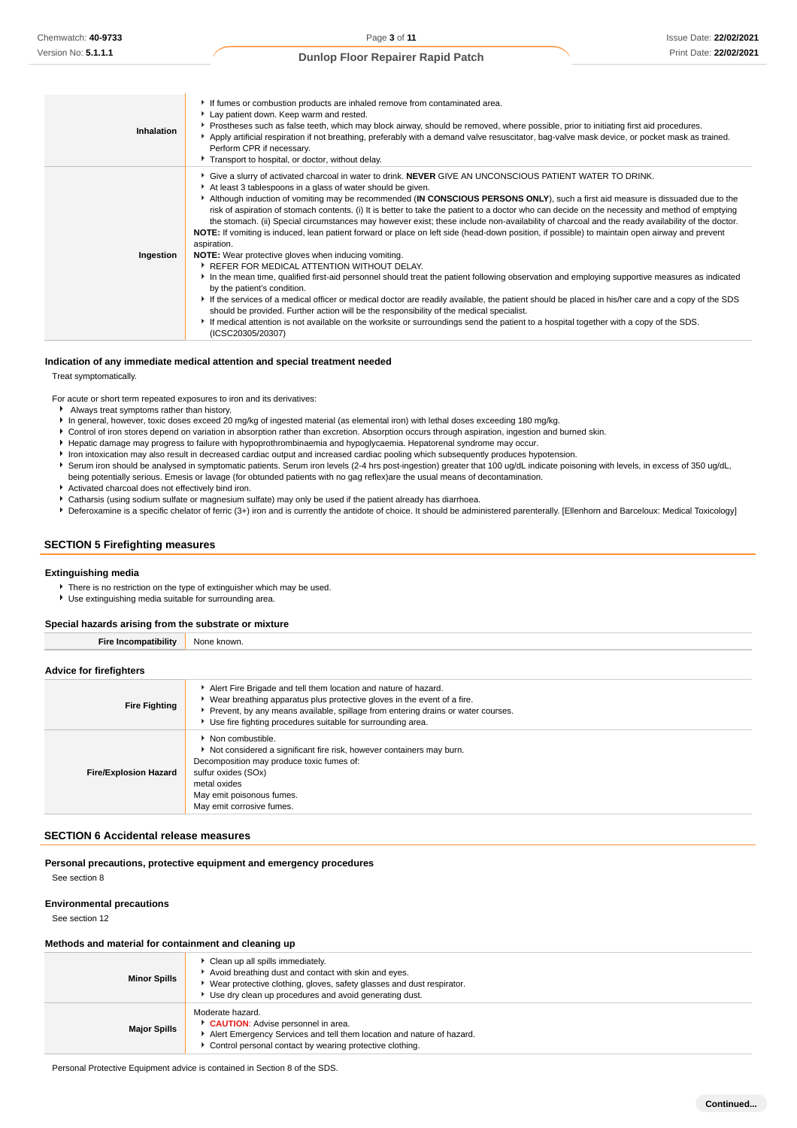| Inhalation | If fumes or combustion products are inhaled remove from contaminated area.<br>Lay patient down. Keep warm and rested.<br>▶ Prostheses such as false teeth, which may block airway, should be removed, where possible, prior to initiating first aid procedures.<br>Apply artificial respiration if not breathing, preferably with a demand valve resuscitator, bag-valve mask device, or pocket mask as trained.<br>Perform CPR if necessary.<br>Transport to hospital, or doctor, without delay.                                                                                                                                                                                                                                                                                                                                                                                                                                                                                                                                                                                                                                                                                                                                                                                                                                                                                                                                                                                                |
|------------|--------------------------------------------------------------------------------------------------------------------------------------------------------------------------------------------------------------------------------------------------------------------------------------------------------------------------------------------------------------------------------------------------------------------------------------------------------------------------------------------------------------------------------------------------------------------------------------------------------------------------------------------------------------------------------------------------------------------------------------------------------------------------------------------------------------------------------------------------------------------------------------------------------------------------------------------------------------------------------------------------------------------------------------------------------------------------------------------------------------------------------------------------------------------------------------------------------------------------------------------------------------------------------------------------------------------------------------------------------------------------------------------------------------------------------------------------------------------------------------------------|
| Ingestion  | Give a slurry of activated charcoal in water to drink. NEVER GIVE AN UNCONSCIOUS PATIENT WATER TO DRINK.<br>At least 3 tablespoons in a glass of water should be given.<br>Although induction of vomiting may be recommended (IN CONSCIOUS PERSONS ONLY), such a first aid measure is dissuaded due to the<br>risk of aspiration of stomach contents. (i) It is better to take the patient to a doctor who can decide on the necessity and method of emptying<br>the stomach. (ii) Special circumstances may however exist; these include non-availability of charcoal and the ready availability of the doctor.<br>NOTE: If vomiting is induced, lean patient forward or place on left side (head-down position, if possible) to maintain open airway and prevent<br>aspiration.<br><b>NOTE:</b> Wear protective gloves when inducing vomiting.<br>▶ REFER FOR MEDICAL ATTENTION WITHOUT DELAY.<br>In the mean time, qualified first-aid personnel should treat the patient following observation and employing supportive measures as indicated<br>by the patient's condition.<br>If the services of a medical officer or medical doctor are readily available, the patient should be placed in his/her care and a copy of the SDS<br>should be provided. Further action will be the responsibility of the medical specialist.<br>► If medical attention is not available on the worksite or surroundings send the patient to a hospital together with a copy of the SDS.<br>(ICSC20305/20307) |

### **Indication of any immediate medical attention and special treatment needed**

Treat symptomatically.

For acute or short term repeated exposures to iron and its derivatives:

- Always treat symptoms rather than history. In general, however, toxic doses exceed 20 mg/kg of ingested material (as elemental iron) with lethal doses exceeding 180 mg/kg.
- ▶ Control of iron stores depend on variation in absorption rather than excretion. Absorption occurs through aspiration, ingestion and burned skin.
- Hepatic damage may progress to failure with hypoprothrombinaemia and hypoglycaemia. Hepatorenal syndrome may occur.
- Iron intoxication may also result in decreased cardiac output and increased cardiac pooling which subsequently produces hypotension.
- Serum iron should be analysed in symptomatic patients. Serum iron levels (2-4 hrs post-ingestion) greater that 100 ug/dL indicate poisoning with levels, in excess of 350 ug/dL,
- being potentially serious. Emesis or lavage (for obtunded patients with no gag reflex)are the usual means of decontamination.
- Activated charcoal does not effectively bind iron.
- Catharsis (using sodium sulfate or magnesium sulfate) may only be used if the patient already has diarrhoea.
- Deferoxamine is a specific chelator of ferric (3+) iron and is currently the antidote of choice. It should be administered parenterally. [Ellenhorn and Barceloux: Medical Toxicology]

#### **SECTION 5 Firefighting measures**

#### **Extinguishing media**

There is no restriction on the type of extinguisher which may be used.

Use extinguishing media suitable for surrounding area.

## **Special hazards arising from the substrate or mixture**

**Fire Incompatibility** None known.

#### **Advice for firefighters**

| <b>Fire Fighting</b>         | Alert Fire Brigade and tell them location and nature of hazard.<br>▶ Wear breathing apparatus plus protective gloves in the event of a fire.<br>Prevent, by any means available, spillage from entering drains or water courses.<br>Use fire fighting procedures suitable for surrounding area. |
|------------------------------|-------------------------------------------------------------------------------------------------------------------------------------------------------------------------------------------------------------------------------------------------------------------------------------------------|
| <b>Fire/Explosion Hazard</b> | Non combustible.<br>Not considered a significant fire risk, however containers may burn.<br>Decomposition may produce toxic fumes of:<br>sulfur oxides (SOx)<br>metal oxides<br>May emit poisonous fumes.<br>May emit corrosive fumes.                                                          |

## **SECTION 6 Accidental release measures**

#### **Personal precautions, protective equipment and emergency procedures** See section 8

## **Environmental precautions**

See section 12

## **Methods and material for containment and cleaning up**

| <b>Minor Spills</b> | Clean up all spills immediately.<br>Avoid breathing dust and contact with skin and eyes.<br>▶ Wear protective clothing, gloves, safety glasses and dust respirator.<br>Use dry clean up procedures and avoid generating dust. |
|---------------------|-------------------------------------------------------------------------------------------------------------------------------------------------------------------------------------------------------------------------------|
| <b>Major Spills</b> | Moderate hazard.<br>CAUTION: Advise personnel in area.<br>Alert Emergency Services and tell them location and nature of hazard.<br>Control personal contact by wearing protective clothing.                                   |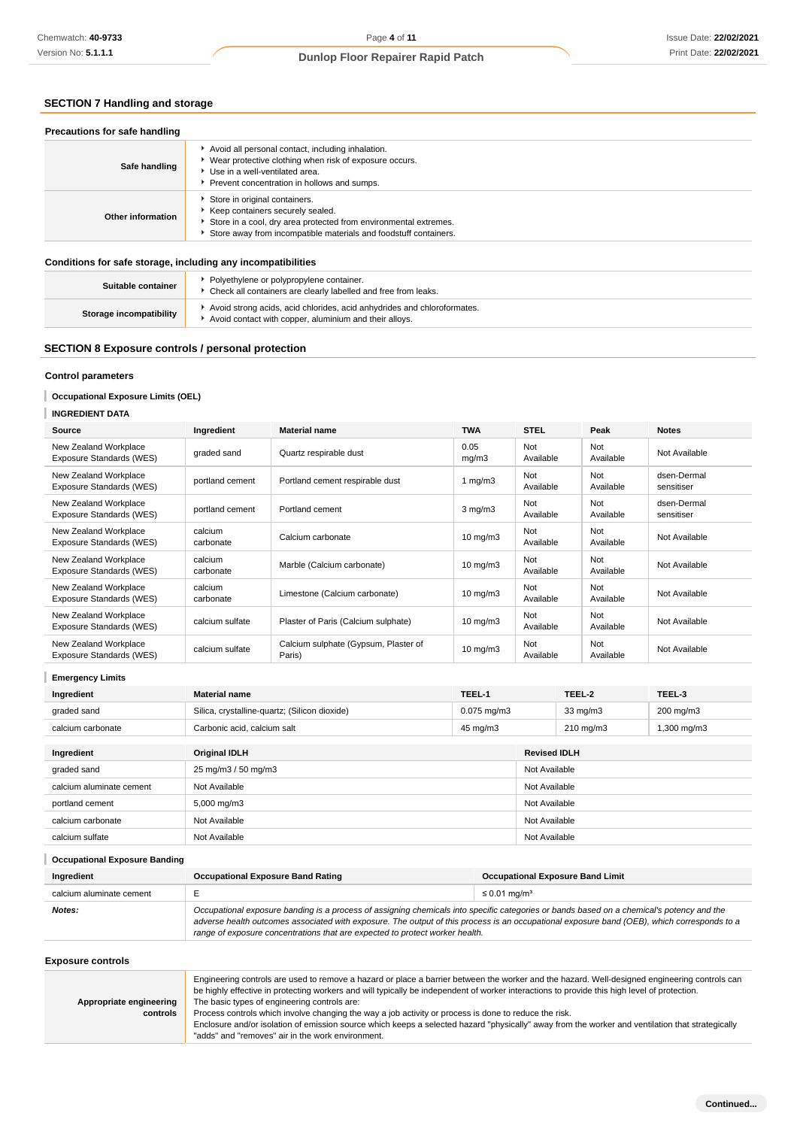## **SECTION 7 Handling and storage**

| Precautions for safe handling                                |                                                                                                                                                                                                             |
|--------------------------------------------------------------|-------------------------------------------------------------------------------------------------------------------------------------------------------------------------------------------------------------|
| Safe handling                                                | Avoid all personal contact, including inhalation.<br>* Wear protective clothing when risk of exposure occurs.<br>Use in a well-ventilated area.<br>Prevent concentration in hollows and sumps.              |
| Other information                                            | Store in original containers.<br>▶ Keep containers securely sealed.<br>Store in a cool, dry area protected from environmental extremes.<br>Store away from incompatible materials and foodstuff containers. |
| Conditions for safe storage, including any incompatibilities |                                                                                                                                                                                                             |

| Suitable container      | Polyethylene or polypropylene container.<br>Check all containers are clearly labelled and free from leaks.                        |
|-------------------------|-----------------------------------------------------------------------------------------------------------------------------------|
| Storage incompatibility | Avoid strong acids, acid chlorides, acid anhydrides and chloroformates.<br>Avoid contact with copper, aluminium and their alloys. |

## **SECTION 8 Exposure controls / personal protection**

## **Control parameters**

## **Occupational Exposure Limits (OEL)**

| Chemwatch: 40-9733                                           |                                | Page 4 of 11                                                                                                                                                                                                                                                                                                                                                                                                                                                                                                                                                                                                                                                    |              |                               |                     |          |                                         | Issue Date: 22/02/202        |
|--------------------------------------------------------------|--------------------------------|-----------------------------------------------------------------------------------------------------------------------------------------------------------------------------------------------------------------------------------------------------------------------------------------------------------------------------------------------------------------------------------------------------------------------------------------------------------------------------------------------------------------------------------------------------------------------------------------------------------------------------------------------------------------|--------------|-------------------------------|---------------------|----------|-----------------------------------------|------------------------------|
| Version No: 5.1.1.1                                          |                                | <b>Dunlop Floor Repairer Rapid Patch</b>                                                                                                                                                                                                                                                                                                                                                                                                                                                                                                                                                                                                                        |              |                               |                     |          |                                         | Print Date: 22/02/202        |
|                                                              |                                |                                                                                                                                                                                                                                                                                                                                                                                                                                                                                                                                                                                                                                                                 |              |                               |                     |          |                                         |                              |
| <b>SECTION 7 Handling and storage</b>                        |                                |                                                                                                                                                                                                                                                                                                                                                                                                                                                                                                                                                                                                                                                                 |              |                               |                     |          |                                         |                              |
| Precautions for safe handling                                |                                |                                                                                                                                                                                                                                                                                                                                                                                                                                                                                                                                                                                                                                                                 |              |                               |                     |          |                                         |                              |
| Safe handling                                                | Use in a well-ventilated area. | Avoid all personal contact, including inhalation.<br>• Wear protective clothing when risk of exposure occurs.                                                                                                                                                                                                                                                                                                                                                                                                                                                                                                                                                   |              |                               |                     |          |                                         |                              |
|                                                              |                                | Prevent concentration in hollows and sumps.                                                                                                                                                                                                                                                                                                                                                                                                                                                                                                                                                                                                                     |              |                               |                     |          |                                         |                              |
| Other information                                            |                                | Store in original containers.<br>Keep containers securely sealed.<br>Store in a cool, dry area protected from environmental extremes.<br>Store away from incompatible materials and foodstuff containers.                                                                                                                                                                                                                                                                                                                                                                                                                                                       |              |                               |                     |          |                                         |                              |
| Conditions for safe storage, including any incompatibilities |                                |                                                                                                                                                                                                                                                                                                                                                                                                                                                                                                                                                                                                                                                                 |              |                               |                     |          |                                         |                              |
| Suitable container                                           |                                | • Polyethylene or polypropylene container.<br>Check all containers are clearly labelled and free from leaks.                                                                                                                                                                                                                                                                                                                                                                                                                                                                                                                                                    |              |                               |                     |          |                                         |                              |
| <b>Storage incompatibility</b>                               |                                | Avoid strong acids, acid chlorides, acid anhydrides and chloroformates.<br>Avoid contact with copper, aluminium and their alloys.                                                                                                                                                                                                                                                                                                                                                                                                                                                                                                                               |              |                               |                     |          |                                         |                              |
| SECTION 8 Exposure controls / personal protection            |                                |                                                                                                                                                                                                                                                                                                                                                                                                                                                                                                                                                                                                                                                                 |              |                               |                     |          |                                         |                              |
| <b>Control parameters</b>                                    |                                |                                                                                                                                                                                                                                                                                                                                                                                                                                                                                                                                                                                                                                                                 |              |                               |                     |          |                                         |                              |
|                                                              |                                |                                                                                                                                                                                                                                                                                                                                                                                                                                                                                                                                                                                                                                                                 |              |                               |                     |          |                                         |                              |
| <b>Occupational Exposure Limits (OEL)</b>                    |                                |                                                                                                                                                                                                                                                                                                                                                                                                                                                                                                                                                                                                                                                                 |              |                               |                     |          |                                         |                              |
| <b>INGREDIENT DATA</b><br>Source                             | Ingredient                     | <b>Material name</b>                                                                                                                                                                                                                                                                                                                                                                                                                                                                                                                                                                                                                                            | <b>TWA</b>   |                               | <b>STEL</b>         |          | Peak                                    | <b>Notes</b>                 |
| New Zealand Workplace                                        |                                |                                                                                                                                                                                                                                                                                                                                                                                                                                                                                                                                                                                                                                                                 | 0.05         |                               | Not                 |          | Not                                     |                              |
| Exposure Standards (WES)<br>New Zealand Workplace            | graded sand                    | Quartz respirable dust                                                                                                                                                                                                                                                                                                                                                                                                                                                                                                                                                                                                                                          | mg/m3        |                               | Available<br>Not    |          | Available<br>Not                        | Not Available<br>dsen-Dermal |
| Exposure Standards (WES)                                     | portland cement                | Portland cement respirable dust                                                                                                                                                                                                                                                                                                                                                                                                                                                                                                                                                                                                                                 | 1 $mg/m3$    |                               | Available           |          | Available                               | sensitiser                   |
| New Zealand Workplace<br>Exposure Standards (WES)            | portland cement                | Portland cement                                                                                                                                                                                                                                                                                                                                                                                                                                                                                                                                                                                                                                                 | $3$ mg/m $3$ |                               | Not<br>Available    |          | Not<br>Available                        | dsen-Dermal<br>sensitiser    |
| New Zealand Workplace<br>Exposure Standards (WES)            | calcium<br>carbonate           | Calcium carbonate                                                                                                                                                                                                                                                                                                                                                                                                                                                                                                                                                                                                                                               |              | $10$ mg/m $3$                 | Not<br>Available    |          | Not<br>Available                        | Not Available                |
| New Zealand Workplace<br>Exposure Standards (WES)            | calcium<br>carbonate           | Marble (Calcium carbonate)                                                                                                                                                                                                                                                                                                                                                                                                                                                                                                                                                                                                                                      |              | $10$ mg/m $3$                 | Not<br>Available    |          | Not<br>Available                        | Not Available                |
| New Zealand Workplace<br>Exposure Standards (WES)            | calcium<br>carbonate           | Limestone (Calcium carbonate)                                                                                                                                                                                                                                                                                                                                                                                                                                                                                                                                                                                                                                   |              | 10 mg/m3                      | Not<br>Available    |          | Not<br>Available                        | Not Available                |
| New Zealand Workplace<br>Exposure Standards (WES)            | calcium sulfate                | Plaster of Paris (Calcium sulphate)                                                                                                                                                                                                                                                                                                                                                                                                                                                                                                                                                                                                                             |              | $10$ mg/m $3$                 | Not<br>Available    |          | Not<br>Available                        | Not Available                |
| New Zealand Workplace<br>Exposure Standards (WES)            | calcium sulfate                | Calcium sulphate (Gypsum, Plaster of<br>Paris)                                                                                                                                                                                                                                                                                                                                                                                                                                                                                                                                                                                                                  |              | $10$ mg/m $3$                 | Not<br>Available    |          | Not<br>Available                        | Not Available                |
| <b>Emergency Limits</b>                                      |                                |                                                                                                                                                                                                                                                                                                                                                                                                                                                                                                                                                                                                                                                                 |              |                               |                     |          |                                         |                              |
| Ingredient                                                   | <b>Material name</b>           |                                                                                                                                                                                                                                                                                                                                                                                                                                                                                                                                                                                                                                                                 | TEEL-1       |                               |                     | TEEL-2   |                                         | TEEL-3                       |
| graded sand                                                  |                                | Silica, crystalline-quartz; (Silicon dioxide)                                                                                                                                                                                                                                                                                                                                                                                                                                                                                                                                                                                                                   |              | $0.075$ mg/m3                 |                     | 33 mg/m3 |                                         | 200 mg/m3                    |
| calcium carbonate                                            | Carbonic acid, calcium salt    |                                                                                                                                                                                                                                                                                                                                                                                                                                                                                                                                                                                                                                                                 |              | 45 mg/m3                      |                     |          | 210 mg/m3                               | 1,300 mg/m3                  |
|                                                              |                                |                                                                                                                                                                                                                                                                                                                                                                                                                                                                                                                                                                                                                                                                 |              |                               |                     |          |                                         |                              |
| Ingredient                                                   | <b>Original IDLH</b>           |                                                                                                                                                                                                                                                                                                                                                                                                                                                                                                                                                                                                                                                                 |              |                               | <b>Revised IDLH</b> |          |                                         |                              |
| graded sand                                                  | 25 mg/m3 / 50 mg/m3            |                                                                                                                                                                                                                                                                                                                                                                                                                                                                                                                                                                                                                                                                 |              |                               | Not Available       |          |                                         |                              |
| calcium aluminate cement                                     | Not Available                  |                                                                                                                                                                                                                                                                                                                                                                                                                                                                                                                                                                                                                                                                 |              |                               | Not Available       |          |                                         |                              |
| portland cement                                              | 5,000 mg/m3<br>Not Available   |                                                                                                                                                                                                                                                                                                                                                                                                                                                                                                                                                                                                                                                                 |              |                               |                     |          |                                         |                              |
| calcium carbonate                                            |                                | Not Available                                                                                                                                                                                                                                                                                                                                                                                                                                                                                                                                                                                                                                                   |              |                               | Not Available       |          |                                         |                              |
| calcium sulfate                                              | Not Available                  |                                                                                                                                                                                                                                                                                                                                                                                                                                                                                                                                                                                                                                                                 |              |                               | Not Available       |          |                                         |                              |
| <b>Occupational Exposure Banding</b>                         |                                |                                                                                                                                                                                                                                                                                                                                                                                                                                                                                                                                                                                                                                                                 |              |                               |                     |          |                                         |                              |
| Ingredient                                                   |                                | <b>Occupational Exposure Band Rating</b>                                                                                                                                                                                                                                                                                                                                                                                                                                                                                                                                                                                                                        |              |                               |                     |          | <b>Occupational Exposure Band Limit</b> |                              |
| calcium aluminate cement                                     | Ε                              |                                                                                                                                                                                                                                                                                                                                                                                                                                                                                                                                                                                                                                                                 |              | $\leq$ 0.01 mg/m <sup>3</sup> |                     |          |                                         |                              |
| Notes:                                                       |                                | Occupational exposure banding is a process of assigning chemicals into specific categories or bands based on a chemical's potency and the<br>adverse health outcomes associated with exposure. The output of this process is an occupational exposure band (OEB), which corresponds to a<br>range of exposure concentrations that are expected to protect worker health.                                                                                                                                                                                                                                                                                        |              |                               |                     |          |                                         |                              |
| <b>Exposure controls</b>                                     |                                |                                                                                                                                                                                                                                                                                                                                                                                                                                                                                                                                                                                                                                                                 |              |                               |                     |          |                                         |                              |
| Appropriate engineering<br>controls                          |                                | Engineering controls are used to remove a hazard or place a barrier between the worker and the hazard. Well-designed engineering controls can<br>be highly effective in protecting workers and will typically be independent of worker interactions to provide this high level of protection.<br>The basic types of engineering controls are:<br>Process controls which involve changing the way a job activity or process is done to reduce the risk.<br>Enclosure and/or isolation of emission source which keeps a selected hazard "physically" away from the worker and ventilation that strategically<br>"adds" and "removes" air in the work environment. |              |                               |                     |          |                                         |                              |

## **Emergency Limits**

| Ingredient               | <b>Material name</b>                          | TEEL-1           |                     | TEEL-2             | TEEL-3      |  |
|--------------------------|-----------------------------------------------|------------------|---------------------|--------------------|-------------|--|
| graded sand              | Silica, crystalline-quartz; (Silicon dioxide) | $0.075$ mg/m $3$ |                     | $33 \text{ mg/m}$  | 200 mg/m3   |  |
| calcium carbonate        | Carbonic acid, calcium salt                   | 45 mg/m3         |                     | $210 \text{ mg/m}$ | 1,300 mg/m3 |  |
| Ingredient               | <b>Original IDLH</b>                          |                  | <b>Revised IDLH</b> |                    |             |  |
| graded sand              |                                               |                  |                     | Not Available      |             |  |
|                          | 25 mg/m3 / 50 mg/m3                           |                  |                     |                    |             |  |
| calcium aluminate cement | Not Available                                 |                  |                     | Not Available      |             |  |
| portland cement          | 5,000 mg/m3                                   |                  | Not Available       |                    |             |  |

## **Occupational Exposure Banding**

| Ingredient               | <b>Occupational Exposure Band Rating</b>                                                                                                                                                                                                                                                                                                                                 | <b>Occupational Exposure Band Limit</b> |  |  |
|--------------------------|--------------------------------------------------------------------------------------------------------------------------------------------------------------------------------------------------------------------------------------------------------------------------------------------------------------------------------------------------------------------------|-----------------------------------------|--|--|
| calcium aluminate cement |                                                                                                                                                                                                                                                                                                                                                                          | $\leq$ 0.01 mg/m <sup>3</sup>           |  |  |
| Notes:                   | Occupational exposure banding is a process of assigning chemicals into specific categories or bands based on a chemical's potency and the<br>adverse health outcomes associated with exposure. The output of this process is an occupational exposure band (OEB), which corresponds to a<br>range of exposure concentrations that are expected to protect worker health. |                                         |  |  |

|                         | Engineering controls are used to remove a hazard or place a barrier between the worker and the hazard. Well-designed engineering controls can<br>be highly effective in protecting workers and will typically be independent of worker interactions to provide this high level of protection. |
|-------------------------|-----------------------------------------------------------------------------------------------------------------------------------------------------------------------------------------------------------------------------------------------------------------------------------------------|
| Appropriate engineering | The basic types of engineering controls are:                                                                                                                                                                                                                                                  |
| controls                | Process controls which involve changing the way a job activity or process is done to reduce the risk.                                                                                                                                                                                         |
|                         | Enclosure and/or isolation of emission source which keeps a selected hazard "physically" away from the worker and ventilation that strategically                                                                                                                                              |
|                         | "adds" and "removes" air in the work environment.                                                                                                                                                                                                                                             |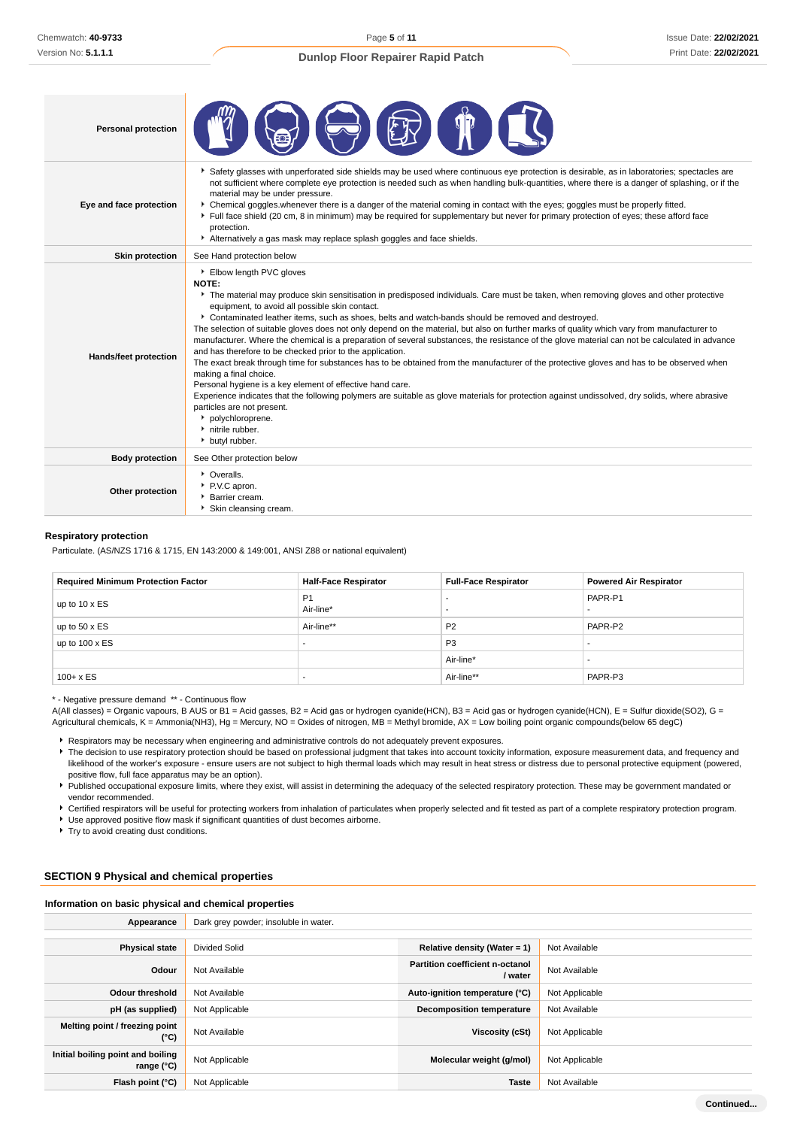| <b>Personal protection</b>   |                                                                                                                                                                                                                                                                                                                                                                                                                                                                                                                                                                                                                                                                                                                                                                                                                                                                                                                                                                                                                                                                                                                                                                                        |
|------------------------------|----------------------------------------------------------------------------------------------------------------------------------------------------------------------------------------------------------------------------------------------------------------------------------------------------------------------------------------------------------------------------------------------------------------------------------------------------------------------------------------------------------------------------------------------------------------------------------------------------------------------------------------------------------------------------------------------------------------------------------------------------------------------------------------------------------------------------------------------------------------------------------------------------------------------------------------------------------------------------------------------------------------------------------------------------------------------------------------------------------------------------------------------------------------------------------------|
| Eye and face protection      | ▶ Safety glasses with unperforated side shields may be used where continuous eye protection is desirable, as in laboratories; spectacles are<br>not sufficient where complete eye protection is needed such as when handling bulk-quantities, where there is a danger of splashing, or if the<br>material may be under pressure.<br>• Chemical goggles whenever there is a danger of the material coming in contact with the eyes; goggles must be properly fitted.<br>Full face shield (20 cm, 8 in minimum) may be required for supplementary but never for primary protection of eyes; these afford face<br>protection.<br>Alternatively a gas mask may replace splash goggles and face shields.                                                                                                                                                                                                                                                                                                                                                                                                                                                                                    |
| <b>Skin protection</b>       | See Hand protection below                                                                                                                                                                                                                                                                                                                                                                                                                                                                                                                                                                                                                                                                                                                                                                                                                                                                                                                                                                                                                                                                                                                                                              |
| <b>Hands/feet protection</b> | Elbow length PVC gloves<br><b>NOTE:</b><br>The material may produce skin sensitisation in predisposed individuals. Care must be taken, when removing gloves and other protective<br>equipment, to avoid all possible skin contact.<br>▶ Contaminated leather items, such as shoes, belts and watch-bands should be removed and destroyed.<br>The selection of suitable gloves does not only depend on the material, but also on further marks of quality which vary from manufacturer to<br>manufacturer. Where the chemical is a preparation of several substances, the resistance of the glove material can not be calculated in advance<br>and has therefore to be checked prior to the application.<br>The exact break through time for substances has to be obtained from the manufacturer of the protective gloves and has to be observed when<br>making a final choice.<br>Personal hygiene is a key element of effective hand care.<br>Experience indicates that the following polymers are suitable as glove materials for protection against undissolved, dry solids, where abrasive<br>particles are not present.<br>polychloroprene.<br>• nitrile rubber.<br>butyl rubber. |
| <b>Body protection</b>       | See Other protection below                                                                                                                                                                                                                                                                                                                                                                                                                                                                                                                                                                                                                                                                                                                                                                                                                                                                                                                                                                                                                                                                                                                                                             |
| Other protection             | • Overalls.<br>P.V.C apron.<br>Barrier cream.<br>Skin cleansing cream.                                                                                                                                                                                                                                                                                                                                                                                                                                                                                                                                                                                                                                                                                                                                                                                                                                                                                                                                                                                                                                                                                                                 |

#### **Respiratory protection**

Particulate. (AS/NZS 1716 & 1715, EN 143:2000 & 149:001, ANSI Z88 or national equivalent)

| <b>Required Minimum Protection Factor</b> | <b>Half-Face Respirator</b> | <b>Full-Face Respirator</b> | <b>Powered Air Respirator</b> |  |
|-------------------------------------------|-----------------------------|-----------------------------|-------------------------------|--|
| up to 10 x ES                             | P <sub>1</sub><br>Air-line* |                             | PAPR-P1                       |  |
| up to $50 \times ES$                      | Air-line**                  | P <sub>2</sub>              | PAPR-P2                       |  |
| up to $100 \times ES$                     |                             | P <sub>3</sub>              |                               |  |
|                                           |                             | Air-line*                   |                               |  |
| $100 + x ES$                              |                             | Air-line**                  | PAPR-P3                       |  |

\* - Negative pressure demand \*\* - Continuous flow

A(All classes) = Organic vapours, B AUS or B1 = Acid gasses, B2 = Acid gas or hydrogen cyanide(HCN), B3 = Acid gas or hydrogen cyanide(HCN), E = Sulfur dioxide(SO2), G = Agricultural chemicals, K = Ammonia(NH3), Hg = Mercury, NO = Oxides of nitrogen, MB = Methyl bromide, AX = Low boiling point organic compounds(below 65 degC)

Respirators may be necessary when engineering and administrative controls do not adequately prevent exposures.

F The decision to use respiratory protection should be based on professional judgment that takes into account toxicity information, exposure measurement data, and frequency and likelihood of the worker's exposure - ensure users are not subject to high thermal loads which may result in heat stress or distress due to personal protective equipment (powered, positive flow, full face apparatus may be an option).

Published occupational exposure limits, where they exist, will assist in determining the adequacy of the selected respiratory protection. These may be government mandated or vendor recommended.

Certified respirators will be useful for protecting workers from inhalation of particulates when properly selected and fit tested as part of a complete respiratory protection program.

Use approved positive flow mask if significant quantities of dust becomes airborne.

▶ Try to avoid creating dust conditions.

## **SECTION 9 Physical and chemical properties**

**Information on basic physical and chemical properties**

| Appearance                                        | Dark grey powder; insoluble in water. |                                            |                |  |
|---------------------------------------------------|---------------------------------------|--------------------------------------------|----------------|--|
|                                                   |                                       |                                            |                |  |
| <b>Physical state</b>                             | <b>Divided Solid</b>                  | Relative density (Water = $1$ )            | Not Available  |  |
| Odour                                             | Not Available                         | Partition coefficient n-octanol<br>/ water | Not Available  |  |
| Odour threshold                                   | Not Available                         | Auto-ignition temperature (°C)             | Not Applicable |  |
| pH (as supplied)                                  | Not Applicable                        | <b>Decomposition temperature</b>           | Not Available  |  |
| Melting point / freezing point<br>(°C)            | Not Available                         | Viscosity (cSt)                            | Not Applicable |  |
| Initial boiling point and boiling<br>range $(°C)$ | Not Applicable                        | Molecular weight (g/mol)                   | Not Applicable |  |
| Flash point (°C)                                  | Not Applicable                        | Taste                                      | Not Available  |  |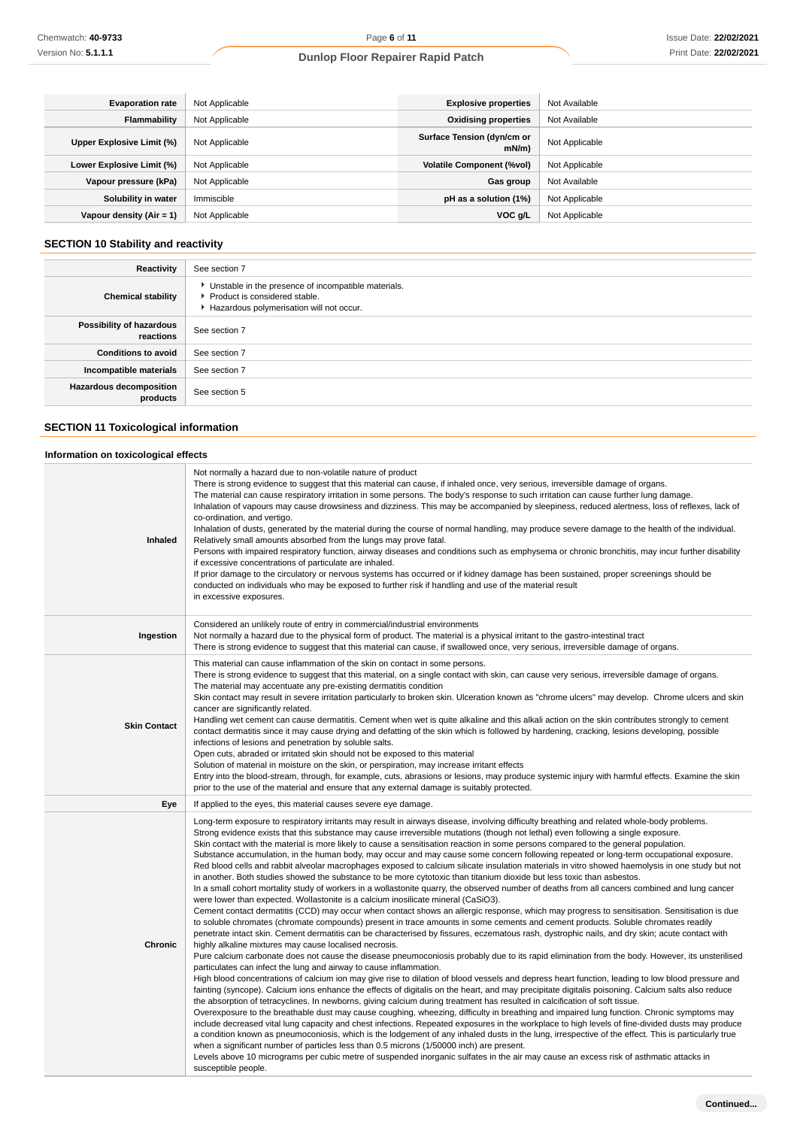| <b>Evaporation rate</b>    | Not Applicable | <b>Explosive properties</b>        | Not Available  |
|----------------------------|----------------|------------------------------------|----------------|
| Flammability               | Not Applicable | <b>Oxidising properties</b>        | Not Available  |
| Upper Explosive Limit (%)  | Not Applicable | Surface Tension (dyn/cm or<br>mN/m | Not Applicable |
| Lower Explosive Limit (%)  | Not Applicable | <b>Volatile Component (%vol)</b>   | Not Applicable |
| Vapour pressure (kPa)      | Not Applicable | Gas group                          | Not Available  |
| Solubility in water        | Immiscible     | pH as a solution (1%)              | Not Applicable |
| Vapour density $(Air = 1)$ | Not Applicable | VOC g/L                            | Not Applicable |

## **SECTION 10 Stability and reactivity**

| Reactivity                            | See section 7                                                                                                                        |
|---------------------------------------|--------------------------------------------------------------------------------------------------------------------------------------|
| <b>Chemical stability</b>             | • Unstable in the presence of incompatible materials.<br>▶ Product is considered stable.<br>Hazardous polymerisation will not occur. |
| Possibility of hazardous<br>reactions | See section 7                                                                                                                        |
| <b>Conditions to avoid</b>            | See section 7                                                                                                                        |
| Incompatible materials                | See section 7                                                                                                                        |
| Hazardous decomposition<br>products   | See section 5                                                                                                                        |

## **SECTION 11 Toxicological information**

## **Information on toxicological effects**

| <b>Inhaled</b>      | Not normally a hazard due to non-volatile nature of product<br>There is strong evidence to suggest that this material can cause, if inhaled once, very serious, irreversible damage of organs.<br>The material can cause respiratory irritation in some persons. The body's response to such irritation can cause further lung damage.<br>Inhalation of vapours may cause drowsiness and dizziness. This may be accompanied by sleepiness, reduced alertness, loss of reflexes, lack of<br>co-ordination, and vertigo.<br>Inhalation of dusts, generated by the material during the course of normal handling, may produce severe damage to the health of the individual.<br>Relatively small amounts absorbed from the lungs may prove fatal.<br>Persons with impaired respiratory function, airway diseases and conditions such as emphysema or chronic bronchitis, may incur further disability<br>if excessive concentrations of particulate are inhaled.<br>If prior damage to the circulatory or nervous systems has occurred or if kidney damage has been sustained, proper screenings should be<br>conducted on individuals who may be exposed to further risk if handling and use of the material result<br>in excessive exposures.                                                                                                                                                                                                                                                                                                                                                                                                                                                                                                                                                                                                                                                                                                                                                                                                                                                                                                                                                                                                                                                                                                                                                                                                                                                                                                                                                                                                                                                                                                                                                                                                                                                                                                                                    |
|---------------------|---------------------------------------------------------------------------------------------------------------------------------------------------------------------------------------------------------------------------------------------------------------------------------------------------------------------------------------------------------------------------------------------------------------------------------------------------------------------------------------------------------------------------------------------------------------------------------------------------------------------------------------------------------------------------------------------------------------------------------------------------------------------------------------------------------------------------------------------------------------------------------------------------------------------------------------------------------------------------------------------------------------------------------------------------------------------------------------------------------------------------------------------------------------------------------------------------------------------------------------------------------------------------------------------------------------------------------------------------------------------------------------------------------------------------------------------------------------------------------------------------------------------------------------------------------------------------------------------------------------------------------------------------------------------------------------------------------------------------------------------------------------------------------------------------------------------------------------------------------------------------------------------------------------------------------------------------------------------------------------------------------------------------------------------------------------------------------------------------------------------------------------------------------------------------------------------------------------------------------------------------------------------------------------------------------------------------------------------------------------------------------------------------------------------------------------------------------------------------------------------------------------------------------------------------------------------------------------------------------------------------------------------------------------------------------------------------------------------------------------------------------------------------------------------------------------------------------------------------------------------------------------------------------------------------------------------------------------------------------|
| Ingestion           | Considered an unlikely route of entry in commercial/industrial environments<br>Not normally a hazard due to the physical form of product. The material is a physical irritant to the gastro-intestinal tract<br>There is strong evidence to suggest that this material can cause, if swallowed once, very serious, irreversible damage of organs.                                                                                                                                                                                                                                                                                                                                                                                                                                                                                                                                                                                                                                                                                                                                                                                                                                                                                                                                                                                                                                                                                                                                                                                                                                                                                                                                                                                                                                                                                                                                                                                                                                                                                                                                                                                                                                                                                                                                                                                                                                                                                                                                                                                                                                                                                                                                                                                                                                                                                                                                                                                                                               |
| <b>Skin Contact</b> | This material can cause inflammation of the skin on contact in some persons.<br>There is strong evidence to suggest that this material, on a single contact with skin, can cause very serious, irreversible damage of organs.<br>The material may accentuate any pre-existing dermatitis condition<br>Skin contact may result in severe irritation particularly to broken skin. Ulceration known as "chrome ulcers" may develop. Chrome ulcers and skin<br>cancer are significantly related.<br>Handling wet cement can cause dermatitis. Cement when wet is quite alkaline and this alkali action on the skin contributes strongly to cement<br>contact dermatitis since it may cause drying and defatting of the skin which is followed by hardening, cracking, lesions developing, possible<br>infections of lesions and penetration by soluble salts.<br>Open cuts, abraded or irritated skin should not be exposed to this material<br>Solution of material in moisture on the skin, or perspiration, may increase irritant effects<br>Entry into the blood-stream, through, for example, cuts, abrasions or lesions, may produce systemic injury with harmful effects. Examine the skin<br>prior to the use of the material and ensure that any external damage is suitably protected.                                                                                                                                                                                                                                                                                                                                                                                                                                                                                                                                                                                                                                                                                                                                                                                                                                                                                                                                                                                                                                                                                                                                                                                                                                                                                                                                                                                                                                                                                                                                                                                                                                                                                    |
| Eye                 | If applied to the eyes, this material causes severe eye damage.                                                                                                                                                                                                                                                                                                                                                                                                                                                                                                                                                                                                                                                                                                                                                                                                                                                                                                                                                                                                                                                                                                                                                                                                                                                                                                                                                                                                                                                                                                                                                                                                                                                                                                                                                                                                                                                                                                                                                                                                                                                                                                                                                                                                                                                                                                                                                                                                                                                                                                                                                                                                                                                                                                                                                                                                                                                                                                                 |
| Chronic             | Long-term exposure to respiratory irritants may result in airways disease, involving difficulty breathing and related whole-body problems.<br>Strong evidence exists that this substance may cause irreversible mutations (though not lethal) even following a single exposure.<br>Skin contact with the material is more likely to cause a sensitisation reaction in some persons compared to the general population.<br>Substance accumulation, in the human body, may occur and may cause some concern following repeated or long-term occupational exposure.<br>Red blood cells and rabbit alveolar macrophages exposed to calcium silicate insulation materials in vitro showed haemolysis in one study but not<br>in another. Both studies showed the substance to be more cytotoxic than titanium dioxide but less toxic than asbestos.<br>In a small cohort mortality study of workers in a wollastonite quarry, the observed number of deaths from all cancers combined and lung cancer<br>were lower than expected. Wollastonite is a calcium inosilicate mineral (CaSiO3).<br>Cement contact dermatitis (CCD) may occur when contact shows an allergic response, which may progress to sensitisation. Sensitisation is due<br>to soluble chromates (chromate compounds) present in trace amounts in some cements and cement products. Soluble chromates readily<br>penetrate intact skin. Cement dermatitis can be characterised by fissures, eczematous rash, dystrophic nails, and dry skin; acute contact with<br>highly alkaline mixtures may cause localised necrosis.<br>Pure calcium carbonate does not cause the disease pneumoconiosis probably due to its rapid elimination from the body. However, its unsterilised<br>particulates can infect the lung and airway to cause inflammation.<br>High blood concentrations of calcium ion may give rise to dilation of blood vessels and depress heart function, leading to low blood pressure and<br>fainting (syncope). Calcium ions enhance the effects of digitalis on the heart, and may precipitate digitalis poisoning. Calcium salts also reduce<br>the absorption of tetracyclines. In newborns, giving calcium during treatment has resulted in calcification of soft tissue.<br>Overexposure to the breathable dust may cause coughing, wheezing, difficulty in breathing and impaired lung function. Chronic symptoms may<br>include decreased vital lung capacity and chest infections. Repeated exposures in the workplace to high levels of fine-divided dusts may produce<br>a condition known as pneumoconiosis, which is the lodgement of any inhaled dusts in the lung, irrespective of the effect. This is particularly true<br>when a significant number of particles less than 0.5 microns (1/50000 inch) are present.<br>Levels above 10 micrograms per cubic metre of suspended inorganic sulfates in the air may cause an excess risk of asthmatic attacks in<br>susceptible people. |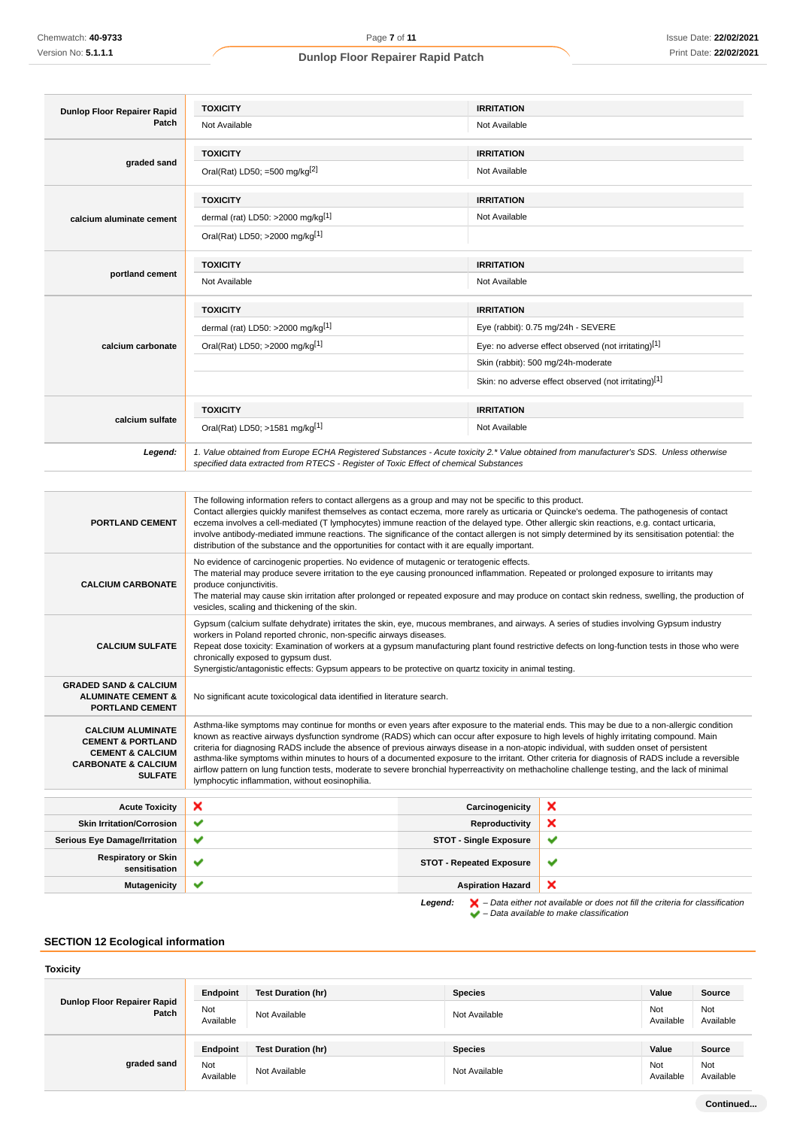| Dunlop Floor Repairer Rapid | <b>TOXICITY</b>                                                                                                                                                                                                                                                                                                                                                                                                                                                                                                                                                                                                                                               | <b>IRRITATION</b>                                                                                                                      |
|-----------------------------|---------------------------------------------------------------------------------------------------------------------------------------------------------------------------------------------------------------------------------------------------------------------------------------------------------------------------------------------------------------------------------------------------------------------------------------------------------------------------------------------------------------------------------------------------------------------------------------------------------------------------------------------------------------|----------------------------------------------------------------------------------------------------------------------------------------|
| Patch                       | Not Available                                                                                                                                                                                                                                                                                                                                                                                                                                                                                                                                                                                                                                                 | Not Available                                                                                                                          |
|                             | <b>TOXICITY</b>                                                                                                                                                                                                                                                                                                                                                                                                                                                                                                                                                                                                                                               | <b>IRRITATION</b>                                                                                                                      |
| graded sand                 | Oral(Rat) LD50; =500 mg/kg <sup>[2]</sup>                                                                                                                                                                                                                                                                                                                                                                                                                                                                                                                                                                                                                     | Not Available                                                                                                                          |
|                             | <b>TOXICITY</b>                                                                                                                                                                                                                                                                                                                                                                                                                                                                                                                                                                                                                                               | <b>IRRITATION</b>                                                                                                                      |
| calcium aluminate cement    | dermal (rat) LD50: >2000 mg/kg <sup>[1]</sup>                                                                                                                                                                                                                                                                                                                                                                                                                                                                                                                                                                                                                 | Not Available                                                                                                                          |
|                             | Oral(Rat) LD50; >2000 mg/kg[1]                                                                                                                                                                                                                                                                                                                                                                                                                                                                                                                                                                                                                                |                                                                                                                                        |
| portland cement             | <b>TOXICITY</b>                                                                                                                                                                                                                                                                                                                                                                                                                                                                                                                                                                                                                                               | <b>IRRITATION</b>                                                                                                                      |
|                             | Not Available                                                                                                                                                                                                                                                                                                                                                                                                                                                                                                                                                                                                                                                 | Not Available                                                                                                                          |
| calcium carbonate           | <b>TOXICITY</b>                                                                                                                                                                                                                                                                                                                                                                                                                                                                                                                                                                                                                                               | <b>IRRITATION</b>                                                                                                                      |
|                             | dermal (rat) LD50: >2000 mg/kg <sup>[1]</sup>                                                                                                                                                                                                                                                                                                                                                                                                                                                                                                                                                                                                                 | Eye (rabbit): 0.75 mg/24h - SEVERE                                                                                                     |
|                             | Oral(Rat) LD50; >2000 mg/kg[1]                                                                                                                                                                                                                                                                                                                                                                                                                                                                                                                                                                                                                                | Eye: no adverse effect observed (not irritating)[1]                                                                                    |
|                             |                                                                                                                                                                                                                                                                                                                                                                                                                                                                                                                                                                                                                                                               | Skin (rabbit): 500 mg/24h-moderate                                                                                                     |
|                             |                                                                                                                                                                                                                                                                                                                                                                                                                                                                                                                                                                                                                                                               | Skin: no adverse effect observed (not irritating)[1]                                                                                   |
|                             | <b>TOXICITY</b>                                                                                                                                                                                                                                                                                                                                                                                                                                                                                                                                                                                                                                               | <b>IRRITATION</b>                                                                                                                      |
| calcium sulfate             | Oral(Rat) LD50; >1581 mg/kg[1]                                                                                                                                                                                                                                                                                                                                                                                                                                                                                                                                                                                                                                | Not Available                                                                                                                          |
| Legend:                     | specified data extracted from RTECS - Register of Toxic Effect of chemical Substances                                                                                                                                                                                                                                                                                                                                                                                                                                                                                                                                                                         | 1. Value obtained from Europe ECHA Registered Substances - Acute toxicity 2.* Value obtained from manufacturer's SDS. Unless otherwise |
|                             |                                                                                                                                                                                                                                                                                                                                                                                                                                                                                                                                                                                                                                                               |                                                                                                                                        |
| <b>PORTLAND CEMENT</b>      | The following information refers to contact allergens as a group and may not be specific to this product.<br>Contact allergies quickly manifest themselves as contact eczema, more rarely as urticaria or Quincke's oedema. The pathogenesis of contact<br>eczema involves a cell-mediated (T lymphocytes) immune reaction of the delayed type. Other allergic skin reactions, e.g. contact urticaria,<br>involve antibody-mediated immune reactions. The significance of the contact allergen is not simply determined by its sensitisation potential: the<br>distribution of the substance and the opportunities for contact with it are equally important. |                                                                                                                                        |
|                             | No evidence of carcinogenic properties. No evidence of mutagenic or teratogenic effects.                                                                                                                                                                                                                                                                                                                                                                                                                                                                                                                                                                      | The material may produce severe irritation to the eye causing pronounced inflammation. Repeated or prolonged exposure to irritants may |

**CALCIUM CARBONATE** produce conjunctivitis. The material may cause skin irritation after prolonged or repeated exposure and may produce on contact skin redness, swelling, the production of vesicles, scaling and thickening of the skin.

> Gypsum (calcium sulfate dehydrate) irritates the skin, eye, mucous membranes, and airways. A series of studies involving Gypsum industry workers in Poland reported chronic, non-specific airways diseases.

**CALCIUM SULFATE** Repeat dose toxicity: Examination of workers at a gypsum manufacturing plant found restrictive defects on long-function tests in those who were chronically exposed to gypsum dust.

Synergistic/antagonistic effects: Gypsum appears to be protective on quartz toxicity in animal testing.

No significant acute toxicological data identified in literature search.

Asthma-like symptoms may continue for months or even years after exposure to the material ends. This may be due to a non-allergic condition known as reactive airways dysfunction syndrome (RADS) which can occur after exposure to high levels of highly irritating compound. Main criteria for diagnosing RADS include the absence of previous airways disease in a non-atopic individual, with sudden onset of persistent asthma-like symptoms within minutes to hours of a documented exposure to the irritant. Other criteria for diagnosis of RADS include a reversible airflow pattern on lung function tests, moderate to severe bronchial hyperreactivity on methacholine challenge testing, and the lack of minimal lymphocytic inflammation, without eosinophilia.

| <b>Acute Toxicity</b>                       | ×            | Carcinogenicity                 | ×                                                                                                  |
|---------------------------------------------|--------------|---------------------------------|----------------------------------------------------------------------------------------------------|
| <b>Skin Irritation/Corrosion</b>            | $\checkmark$ | Reproductivity                  | ×                                                                                                  |
| <b>Serious Eye Damage/Irritation</b>        | ✔            | <b>STOT - Single Exposure</b>   | $\checkmark$                                                                                       |
| <b>Respiratory or Skin</b><br>sensitisation |              | <b>STOT - Repeated Exposure</b> | v                                                                                                  |
| <b>Mutagenicity</b>                         | ັ            | <b>Aspiration Hazard</b>        | ×                                                                                                  |
|                                             |              | Legend:                         | $\blacktriangleright$ - Data either not available or does not fill the criteria for classification |

 $\blacktriangleright$  – Data available to make classification

## **SECTION 12 Ecological information**

**GRADED SAND & CALCIUM ALUMINATE CEMENT & PORTLAND CEMENT**

**CALCIUM ALUMINATE CEMENT & PORTLAND CEMENT & CALCIUM CARBONATE & CALCIUM**

**SULFATE**

## **Toxicity**

| Dunlop Floor Repairer Rapid<br>Patch | Endpoint         | Test Duration (hr) | <b>Species</b> | Value            | Source           |
|--------------------------------------|------------------|--------------------|----------------|------------------|------------------|
|                                      | Not<br>Available | Not Available      | Not Available  | Not<br>Available | Not<br>Available |
|                                      | Endpoint         | Test Duration (hr) | <b>Species</b> | Value            | Source           |
| graded sand                          | Not<br>Available | Not Available      | Not Available  | Not<br>Available | Not<br>Available |

**Continued...**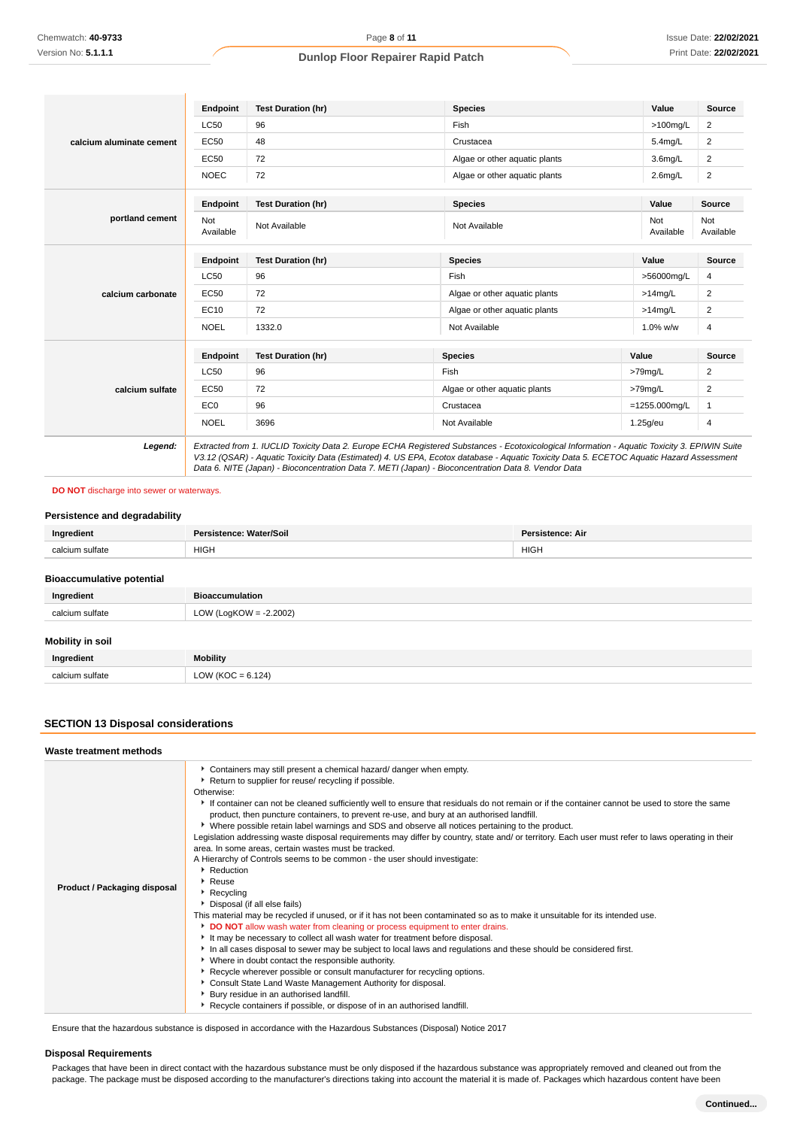|                          | Endpoint         | <b>Test Duration (hr)</b> | <b>Species</b>                | Value               | <b>Source</b>           |
|--------------------------|------------------|---------------------------|-------------------------------|---------------------|-------------------------|
|                          | <b>LC50</b>      | 96                        | Fish                          | $>100$ mg/L         | 2                       |
| calcium aluminate cement | <b>EC50</b>      | 48                        | Crustacea                     | $5.4$ mg/L          | $\overline{2}$          |
|                          | <b>EC50</b>      | 72                        | Algae or other aquatic plants | 3.6 <sub>mq/L</sub> | 2                       |
|                          | <b>NOEC</b>      | 72                        | Algae or other aquatic plants | $2.6$ mg/L          | $\overline{\mathbf{c}}$ |
|                          | Endpoint         | <b>Test Duration (hr)</b> | <b>Species</b>                | Value               | Source                  |
| portland cement          | Not<br>Available | Not Available             | Not Available                 | Not<br>Available    | Not<br>Available        |
| calcium carbonate        | Endpoint         | <b>Test Duration (hr)</b> | <b>Species</b>                | Value               | <b>Source</b>           |
|                          | <b>LC50</b>      | 96                        | Fish                          | >56000mg/L          | 4                       |
|                          | <b>EC50</b>      | 72                        | Algae or other aquatic plants | $>14$ mg/L          | 2                       |
|                          | EC10             | 72                        | Algae or other aquatic plants | $>14$ mg/L          | 2                       |
|                          | <b>NOEL</b>      | 1332.0                    | Not Available                 | 1.0% w/w            | 4                       |
|                          | Endpoint         | <b>Test Duration (hr)</b> | <b>Species</b>                | Value               | Source                  |
|                          | <b>LC50</b>      | 96                        | Fish                          | >79mg/L             | 2                       |
| calcium sulfate          | <b>EC50</b>      | 72                        | Algae or other aquatic plants | >79mg/L             | 2                       |
|                          | EC <sub>0</sub>  | 96                        | Crustacea                     | $=1255.000$ mg/L    | 1                       |
|                          | <b>NOEL</b>      | 3696                      | Not Available                 | $1.25$ g/eu         | 4                       |

## **DO NOT** discharge into sewer or waterways.

## **Persistence and degradability**

| Ingredient                       | Persistence: Water/Soil   | <b>Persistence: Air</b> |
|----------------------------------|---------------------------|-------------------------|
| calcium sulfate                  | <b>HIGH</b>               | <b>HIGH</b>             |
|                                  |                           |                         |
| <b>Bioaccumulative potential</b> |                           |                         |
| Ingredient                       | <b>Bioaccumulation</b>    |                         |
| calcium sulfate                  | LOW (LogKOW = $-2.2002$ ) |                         |
|                                  |                           |                         |
| Mobility in soil                 |                           |                         |
| Ingredient                       | <b>Mobility</b>           |                         |
| calcium sulfate                  | $LOW (KOC = 6.124)$       |                         |

Data 6. NITE (Japan) - Bioconcentration Data 7. METI (Japan) - Bioconcentration Data 8. Vendor Data

## **SECTION 13 Disposal considerations**

| Waste treatment methods      |                                                                                                                                                                                                                                                                                                                                                                                                                                                                                                                                                                                                                                                                                                                                                                                                                                                                                                                                                                                                                                                                                                                                                                                                                                                                                                                                                                                                                                                                                                                                                                                                           |
|------------------------------|-----------------------------------------------------------------------------------------------------------------------------------------------------------------------------------------------------------------------------------------------------------------------------------------------------------------------------------------------------------------------------------------------------------------------------------------------------------------------------------------------------------------------------------------------------------------------------------------------------------------------------------------------------------------------------------------------------------------------------------------------------------------------------------------------------------------------------------------------------------------------------------------------------------------------------------------------------------------------------------------------------------------------------------------------------------------------------------------------------------------------------------------------------------------------------------------------------------------------------------------------------------------------------------------------------------------------------------------------------------------------------------------------------------------------------------------------------------------------------------------------------------------------------------------------------------------------------------------------------------|
| Product / Packaging disposal | Containers may still present a chemical hazard/ danger when empty.<br>Return to supplier for reuse/ recycling if possible.<br>Otherwise:<br>If container can not be cleaned sufficiently well to ensure that residuals do not remain or if the container cannot be used to store the same<br>product, then puncture containers, to prevent re-use, and bury at an authorised landfill.<br>▶ Where possible retain label warnings and SDS and observe all notices pertaining to the product.<br>Legislation addressing waste disposal requirements may differ by country, state and/ or territory. Each user must refer to laws operating in their<br>area. In some areas, certain wastes must be tracked.<br>A Hierarchy of Controls seems to be common - the user should investigate:<br>Reduction<br>Reuse<br>Recycling<br>Disposal (if all else fails)<br>This material may be recycled if unused, or if it has not been contaminated so as to make it unsuitable for its intended use.<br>DO NOT allow wash water from cleaning or process equipment to enter drains.<br>It may be necessary to collect all wash water for treatment before disposal.<br>In all cases disposal to sewer may be subject to local laws and regulations and these should be considered first.<br>• Where in doubt contact the responsible authority.<br>▶ Recycle wherever possible or consult manufacturer for recycling options.<br>Consult State Land Waste Management Authority for disposal.<br>Bury residue in an authorised landfill.<br>Recycle containers if possible, or dispose of in an authorised landfill. |

Ensure that the hazardous substance is disposed in accordance with the Hazardous Substances (Disposal) Notice 2017

## **Disposal Requirements**

Packages that have been in direct contact with the hazardous substance must be only disposed if the hazardous substance was appropriately removed and cleaned out from the package. The package must be disposed according to the manufacturer's directions taking into account the material it is made of. Packages which hazardous content have been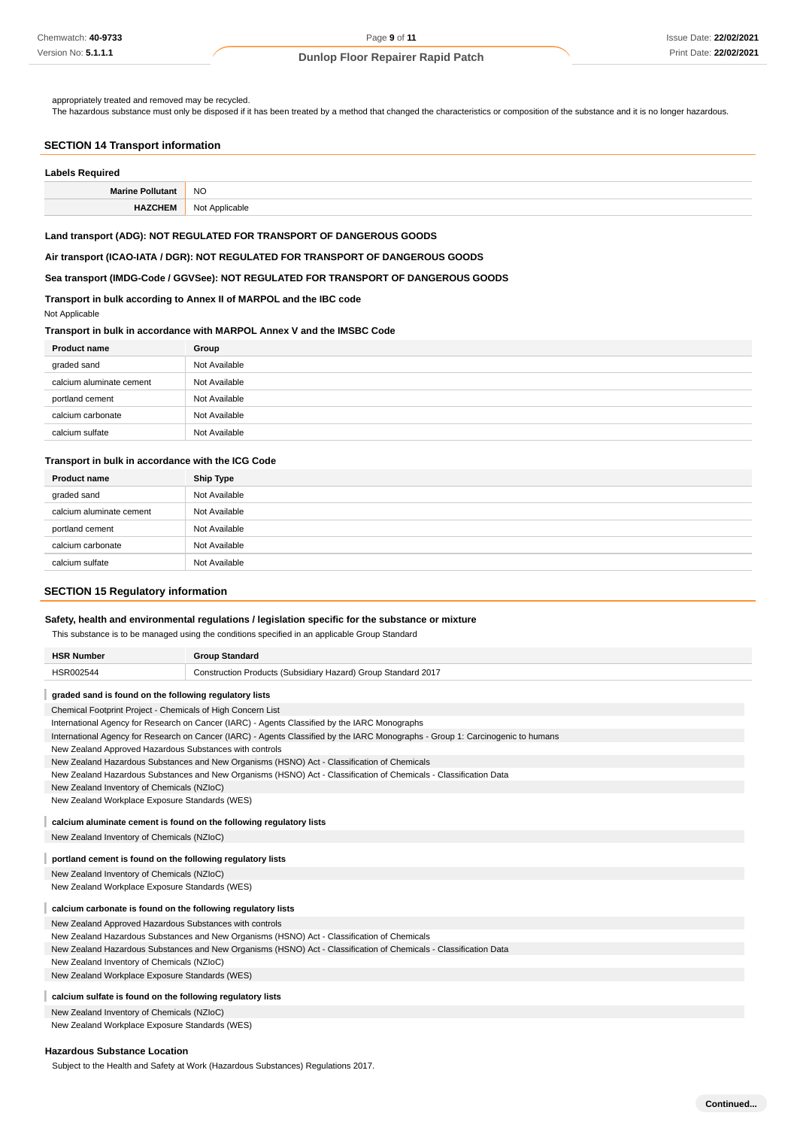appropriately treated and removed may be recycled.

The hazardous substance must only be disposed if it has been treated by a method that changed the characteristics or composition of the substance and it is no longer hazardous.

## **SECTION 14 Transport information**

| <b>Labels Required</b>  |                |
|-------------------------|----------------|
| <b>Marine Pollutant</b> | <b>NO</b>      |
| <b>HAZCHEM</b>          | Not Applicable |

#### **Land transport (ADG): NOT REGULATED FOR TRANSPORT OF DANGEROUS GOODS**

**Air transport (ICAO-IATA / DGR): NOT REGULATED FOR TRANSPORT OF DANGEROUS GOODS**

### **Sea transport (IMDG-Code / GGVSee): NOT REGULATED FOR TRANSPORT OF DANGEROUS GOODS**

## **Transport in bulk according to Annex II of MARPOL and the IBC code**

Not Applicable

## **Transport in bulk in accordance with MARPOL Annex V and the IMSBC Code**

| <b>Product name</b>      | Group         |
|--------------------------|---------------|
| graded sand              | Not Available |
| calcium aluminate cement | Not Available |
| portland cement          | Not Available |
| calcium carbonate        | Not Available |
| calcium sulfate          | Not Available |

## **Transport in bulk in accordance with the ICG Code**

| <b>Product name</b>      | Ship Type     |
|--------------------------|---------------|
| graded sand              | Not Available |
| calcium aluminate cement | Not Available |
| portland cement          | Not Available |
| calcium carbonate        | Not Available |
| calcium sulfate          | Not Available |

## **SECTION 15 Regulatory information**

## **Safety, health and environmental regulations / legislation specific for the substance or mixture**

This substance is to be managed using the conditions specified in an applicable Group Standard

| <b>HSR Number</b>                                                                                                 | <b>Group Standard</b>                                                                                                           |  |  |
|-------------------------------------------------------------------------------------------------------------------|---------------------------------------------------------------------------------------------------------------------------------|--|--|
| HSR002544                                                                                                         | Construction Products (Subsidiary Hazard) Group Standard 2017                                                                   |  |  |
| graded sand is found on the following regulatory lists                                                            |                                                                                                                                 |  |  |
| Chemical Footprint Project - Chemicals of High Concern List                                                       |                                                                                                                                 |  |  |
|                                                                                                                   | International Agency for Research on Cancer (IARC) - Agents Classified by the IARC Monographs                                   |  |  |
|                                                                                                                   | International Agency for Research on Cancer (IARC) - Agents Classified by the IARC Monographs - Group 1: Carcinogenic to humans |  |  |
| New Zealand Approved Hazardous Substances with controls                                                           |                                                                                                                                 |  |  |
|                                                                                                                   | New Zealand Hazardous Substances and New Organisms (HSNO) Act - Classification of Chemicals                                     |  |  |
|                                                                                                                   | New Zealand Hazardous Substances and New Organisms (HSNO) Act - Classification of Chemicals - Classification Data               |  |  |
| New Zealand Inventory of Chemicals (NZIoC)                                                                        |                                                                                                                                 |  |  |
| New Zealand Workplace Exposure Standards (WES)                                                                    |                                                                                                                                 |  |  |
| calcium aluminate cement is found on the following regulatory lists                                               |                                                                                                                                 |  |  |
| New Zealand Inventory of Chemicals (NZIoC)                                                                        |                                                                                                                                 |  |  |
| portland cement is found on the following regulatory lists                                                        |                                                                                                                                 |  |  |
| New Zealand Inventory of Chemicals (NZIoC)                                                                        |                                                                                                                                 |  |  |
| New Zealand Workplace Exposure Standards (WES)                                                                    |                                                                                                                                 |  |  |
| calcium carbonate is found on the following regulatory lists                                                      |                                                                                                                                 |  |  |
| New Zealand Approved Hazardous Substances with controls                                                           |                                                                                                                                 |  |  |
| New Zealand Hazardous Substances and New Organisms (HSNO) Act - Classification of Chemicals                       |                                                                                                                                 |  |  |
| New Zealand Hazardous Substances and New Organisms (HSNO) Act - Classification of Chemicals - Classification Data |                                                                                                                                 |  |  |
| New Zealand Inventory of Chemicals (NZIoC)                                                                        |                                                                                                                                 |  |  |
| New Zealand Workplace Exposure Standards (WES)                                                                    |                                                                                                                                 |  |  |
| calcium sulfate is found on the following regulatory lists                                                        |                                                                                                                                 |  |  |
| New Zealand Inventory of Chemicals (NZIoC)                                                                        |                                                                                                                                 |  |  |
|                                                                                                                   | New Zealand Workplace Exposure Standards (WES)                                                                                  |  |  |

#### **Hazardous Substance Location**

Subject to the Health and Safety at Work (Hazardous Substances) Regulations 2017.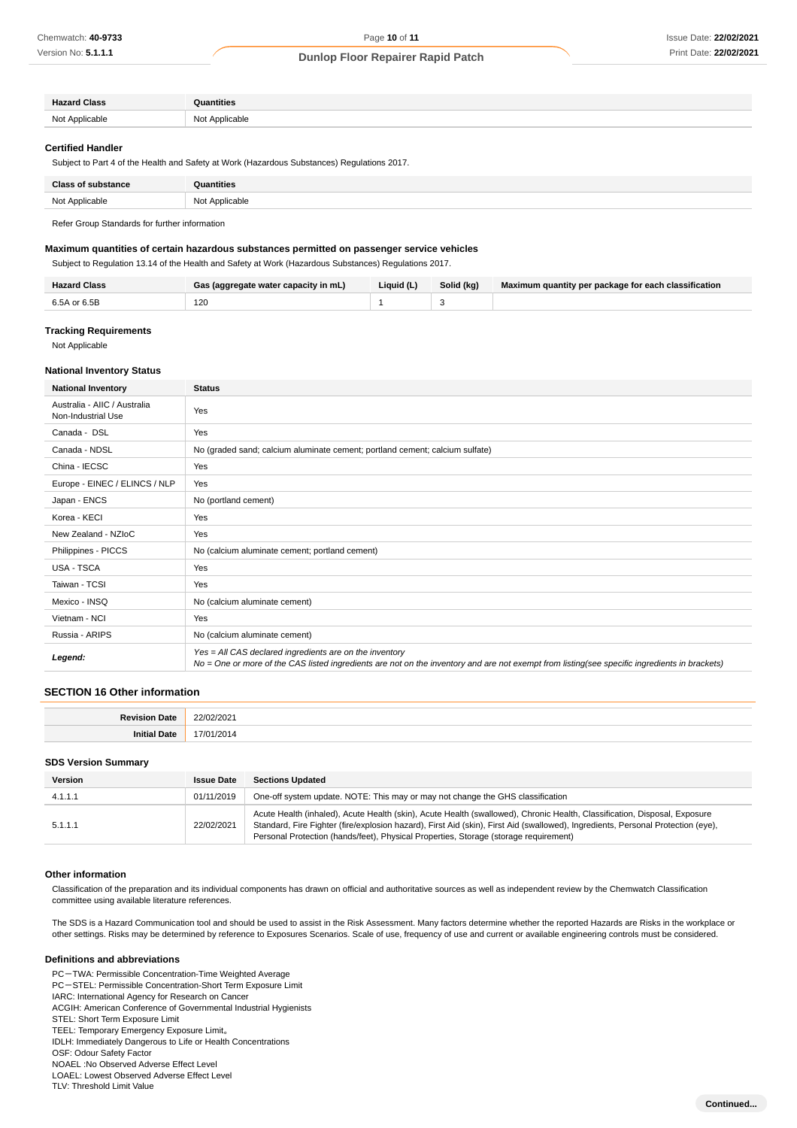| <b>Hazard Class</b> | Quantities     |
|---------------------|----------------|
| Not A               | Not Applicable |
| Applicable          |                |
|                     |                |

#### **Certified Handler**

Subject to Part 4 of the Health and Safety at Work (Hazardous Substances) Regulations 2017.

| <b>Class of substance</b> | Quantities              |
|---------------------------|-------------------------|
| Not Applicable            | Not Applicable<br>----- |

Refer Group Standards for further information

### **Maximum quantities of certain hazardous substances permitted on passenger service vehicles**

Subject to Regulation 13.14 of the Health and Safety at Work (Hazardous Substances) Regulations 2017.

| Hazard Class | Gas (aggregate water capacity in mL) | Liquid (L) | Solid (kg) | Maximum quantity per package for each classification |
|--------------|--------------------------------------|------------|------------|------------------------------------------------------|
| 6.5A or 6.5B | 120                                  |            |            |                                                      |

## **Tracking Requirements**

Not Applicable

## **National Inventory Status**

| <b>National Inventory</b>                          | <b>Status</b>                                                                                                                                                                                            |
|----------------------------------------------------|----------------------------------------------------------------------------------------------------------------------------------------------------------------------------------------------------------|
| Australia - AIIC / Australia<br>Non-Industrial Use | Yes                                                                                                                                                                                                      |
| Canada - DSL                                       | Yes                                                                                                                                                                                                      |
| Canada - NDSL                                      | No (graded sand; calcium aluminate cement; portland cement; calcium sulfate)                                                                                                                             |
| China - IECSC                                      | Yes                                                                                                                                                                                                      |
| Europe - EINEC / ELINCS / NLP                      | Yes                                                                                                                                                                                                      |
| Japan - ENCS                                       | No (portland cement)                                                                                                                                                                                     |
| Korea - KECI                                       | Yes                                                                                                                                                                                                      |
| New Zealand - NZIoC                                | Yes                                                                                                                                                                                                      |
| Philippines - PICCS                                | No (calcium aluminate cement; portland cement)                                                                                                                                                           |
| <b>USA - TSCA</b>                                  | Yes                                                                                                                                                                                                      |
| Taiwan - TCSI                                      | Yes                                                                                                                                                                                                      |
| Mexico - INSQ                                      | No (calcium aluminate cement)                                                                                                                                                                            |
| Vietnam - NCI                                      | Yes                                                                                                                                                                                                      |
| Russia - ARIPS                                     | No (calcium aluminate cement)                                                                                                                                                                            |
| Legend:                                            | Yes = All CAS declared ingredients are on the inventory<br>No = One or more of the CAS listed ingredients are not on the inventory and are not exempt from listing(see specific ingredients in brackets) |

### **SECTION 16 Other information**

| . | $\sim$ |
|---|--------|
|   |        |

#### **SDS Version Summary**

| Version | <b>Issue Date</b> | <b>Sections Updated</b>                                                                                                                                                                                                                                                                                                                               |
|---------|-------------------|-------------------------------------------------------------------------------------------------------------------------------------------------------------------------------------------------------------------------------------------------------------------------------------------------------------------------------------------------------|
| 4.1.1.1 | 01/11/2019        | One-off system update. NOTE: This may or may not change the GHS classification                                                                                                                                                                                                                                                                        |
| 5.1.1.1 | 22/02/2021        | Acute Health (inhaled), Acute Health (skin), Acute Health (swallowed), Chronic Health, Classification, Disposal, Exposure<br>Standard, Fire Fighter (fire/explosion hazard), First Aid (skin), First Aid (swallowed), Ingredients, Personal Protection (eye),<br>Personal Protection (hands/feet), Physical Properties, Storage (storage requirement) |

#### **Other information**

Classification of the preparation and its individual components has drawn on official and authoritative sources as well as independent review by the Chemwatch Classification committee using available literature references.

The SDS is a Hazard Communication tool and should be used to assist in the Risk Assessment. Many factors determine whether the reported Hazards are Risks in the workplace or other settings. Risks may be determined by reference to Exposures Scenarios. Scale of use, frequency of use and current or available engineering controls must be considered.

#### **Definitions and abbreviations**

PC-TWA: Permissible Concentration-Time Weighted Average PC-STEL: Permissible Concentration-Short Term Exposure Limit

IARC: International Agency for Research on Cancer

ACGIH: American Conference of Governmental Industrial Hygienists

- STEL: Short Term Exposure Limit
- TEEL: Temporary Emergency Exposure Limit。 IDLH: Immediately Dangerous to Life or Health Concentrations

OSF: Odour Safety Factor

NOAEL :No Observed Adverse Effect Level

LOAEL: Lowest Observed Adverse Effect Level

TLV: Threshold Limit Value